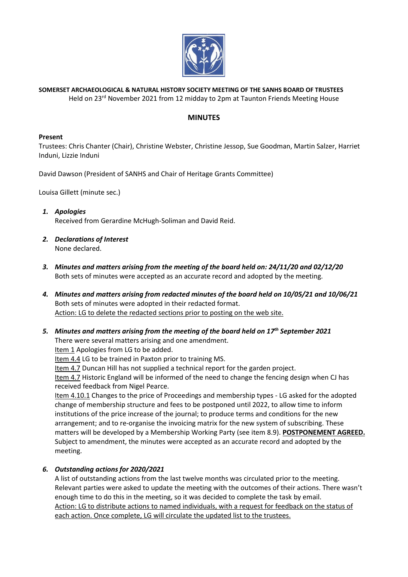

**SOMERSET ARCHAEOLOGICAL & NATURAL HISTORY SOCIETY MEETING OF THE SANHS BOARD OF TRUSTEES** Held on 23<sup>rd</sup> November 2021 from 12 midday to 2pm at Taunton Friends Meeting House

### **MINUTES**

#### **Present**

Trustees: Chris Chanter (Chair), Christine Webster, Christine Jessop, Sue Goodman, Martin Salzer, Harriet Induni, Lizzie Induni

David Dawson (President of SANHS and Chair of Heritage Grants Committee)

Louisa Gillett (minute sec.)

- *1. Apologies* Received from Gerardine McHugh-Soliman and David Reid.
- *2. Declarations of Interest* None declared.
- *3. Minutes and matters arising from the meeting of the board held on: 24/11/20 and 02/12/20* Both sets of minutes were accepted as an accurate record and adopted by the meeting.
- *4. Minutes and matters arising from redacted minutes of the board held on 10/05/21 and 10/06/21* Both sets of minutes were adopted in their redacted format. Action: LG to delete the redacted sections prior to posting on the web site.
- *5. Minutes and matters arising from the meeting of the board held on 17th September 2021*  There were several matters arising and one amendment.

Item 1 Apologies from LG to be added.

Item 4.4 LG to be trained in Paxton prior to training MS.

Item 4.7 Duncan Hill has not supplied a technical report for the garden project.

Item 4.7 Historic England will be informed of the need to change the fencing design when CJ has received feedback from Nigel Pearce.

Item 4.10.1 Changes to the price of Proceedings and membership types - LG asked for the adopted change of membership structure and fees to be postponed until 2022, to allow time to inform institutions of the price increase of the journal; to produce terms and conditions for the new arrangement; and to re-organise the invoicing matrix for the new system of subscribing. These matters will be developed by a Membership Working Party (see item 8.9). **POSTPONEMENT AGREED.** Subject to amendment, the minutes were accepted as an accurate record and adopted by the meeting.

### *6. Outstanding actions for 2020/2021*

A list of outstanding actions from the last twelve months was circulated prior to the meeting. Relevant parties were asked to update the meeting with the outcomes of their actions. There wasn't enough time to do this in the meeting, so it was decided to complete the task by email. Action: LG to distribute actions to named individuals, with a request for feedback on the status of each action. Once complete, LG will circulate the updated list to the trustees.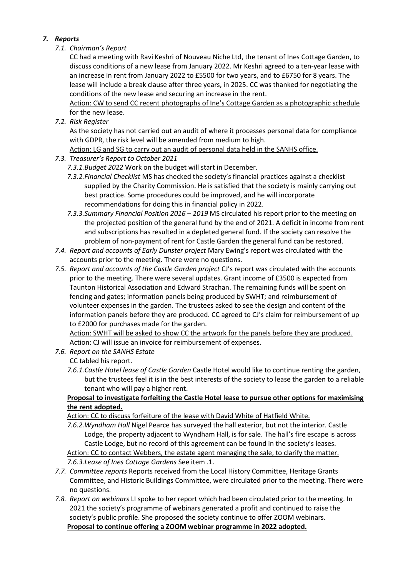## *7. Reports*

# *7.1. Chairman's Report*

CC had a meeting with Ravi Keshri of Nouveau Niche Ltd, the tenant of Ines Cottage Garden, to discuss conditions of a new lease from January 2022. Mr Keshri agreed to a ten-year lease with an increase in rent from January 2022 to £5500 for two years, and to £6750 for 8 years. The lease will include a break clause after three years, in 2025. CC was thanked for negotiating the conditions of the new lease and securing an increase in the rent.

Action: CW to send CC recent photographs of Ine's Cottage Garden as a photographic schedule for the new lease.

*7.2. Risk Register*

As the society has not carried out an audit of where it processes personal data for compliance with GDPR, the risk level will be amended from medium to high.

Action: LG and SG to carry out an audit of personal data held in the SANHS office.

- *7.3. Treasurer's Report to October 2021*
	- *7.3.1.Budget 2022* Work on the budget will start in December.
	- *7.3.2.Financial Checklist* MS has checked the society's financial practices against a checklist supplied by the Charity Commission. He is satisfied that the society is mainly carrying out best practice. Some procedures could be improved, and he will incorporate recommendations for doing this in financial policy in 2022.
	- *7.3.3.Summary Financial Position 2016 – 2019* MS circulated his report prior to the meeting on the projected position of the general fund by the end of 2021. A deficit in income from rent and subscriptions has resulted in a depleted general fund. If the society can resolve the problem of non-payment of rent for Castle Garden the general fund can be restored.
- *7.4. Report and accounts of Early Dunster project* Mary Ewing's report was circulated with the accounts prior to the meeting. There were no questions.
- *7.5. Report and accounts of the Castle Garden project* CJ's report was circulated with the accounts prior to the meeting. There were several updates. Grant income of £3500 is expected from Taunton Historical Association and Edward Strachan. The remaining funds will be spent on fencing and gates; information panels being produced by SWHT; and reimbursement of volunteer expenses in the garden. The trustees asked to see the design and content of the information panels before they are produced. CC agreed to CJ's claim for reimbursement of up to £2000 for purchases made for the garden.

Action: SWHT will be asked to show CC the artwork for the panels before they are produced. Action: CJ will issue an invoice for reimbursement of expenses.

- *7.6. Report on the SANHS Estate* CC tabled his report.
	- *7.6.1.Castle Hotel lease of Castle Garden* Castle Hotel would like to continue renting the garden, but the trustees feel it is in the best interests of the society to lease the garden to a reliable tenant who will pay a higher rent.

## **Proposal to investigate forfeiting the Castle Hotel lease to pursue other options for maximising the rent adopted.**

Action: CC to discuss forfeiture of the lease with David White of Hatfield White.

*7.6.2.Wyndham Hall* Nigel Pearce has surveyed the hall exterior, but not the interior. Castle Lodge, the property adjacent to Wyndham Hall, is for sale. The hall's fire escape is across Castle Lodge, but no record of this agreement can be found in the society's leases. Action: CC to contact Webbers, the estate agent managing the sale, to clarify the matter.

*7.6.3.Lease of Ines Cottage Gardens* See item .1.

- *7.7. Committee reports* Reports received from the Local History Committee, Heritage Grants Committee, and Historic Buildings Committee, were circulated prior to the meeting. There were no questions.
- *7.8. Report on webinars* LI spoke to her report which had been circulated prior to the meeting. In 2021 the society's programme of webinars generated a profit and continued to raise the society's public profile. She proposed the society continue to offer ZOOM webinars. **Proposal to continue offering a ZOOM webinar programme in 2022 adopted.**